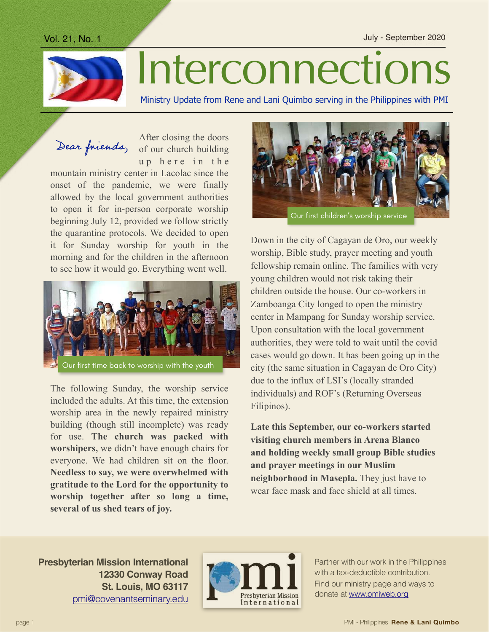Vol. 21, No. 1 July - September 2020



## Interconnections

Ministry Update from Rene and Lani Quimbo serving in the Philippines with PMI

Dearfriends,

After closing the doors of our church building up here in the

mountain ministry center in Lacolac since the onset of the pandemic, we were finally allowed by the local government authorities to open it for in-person corporate worship beginning July 12, provided we follow strictly the quarantine protocols. We decided to open it for Sunday worship for youth in the morning and for the children in the afternoon to see how it would go. Everything went well.



The following Sunday, the worship service included the adults. At this time, the extension worship area in the newly repaired ministry building (though still incomplete) was ready for use. **The church was packed with worshipers,** we didn't have enough chairs for everyone. We had children sit on the floor. **Needless to say, we were overwhelmed with gratitude to the Lord for the opportunity to worship together after so long a time, several of us shed tears of joy.** 



Down in the city of Cagayan de Oro, our weekly worship, Bible study, prayer meeting and youth fellowship remain online. The families with very young children would not risk taking their children outside the house. Our co-workers in Zamboanga City longed to open the ministry center in Mampang for Sunday worship service. Upon consultation with the local government authorities, they were told to wait until the covid cases would go down. It has been going up in the city (the same situation in Cagayan de Oro City) due to the influx of LSI's (locally stranded individuals) and ROF's (Returning Overseas Filipinos).

**Late this September, our co-workers started visiting church members in Arena Blanco and holding weekly small group Bible studies and prayer meetings in our Muslim neighborhood in Masepla.** They just have to wear face mask and face shield at all times.

**Presbyterian Mission International 12330 Conway Road St. Louis, MO 63117** [pmi@covenantseminary.edu](mailto:pmi@covenantseminary.edu)



Partner with our work in the Philippines with a tax-deductible contribution. Find our ministry page and ways to donate at [www.pmiweb.org](http://www.pmiweb.org)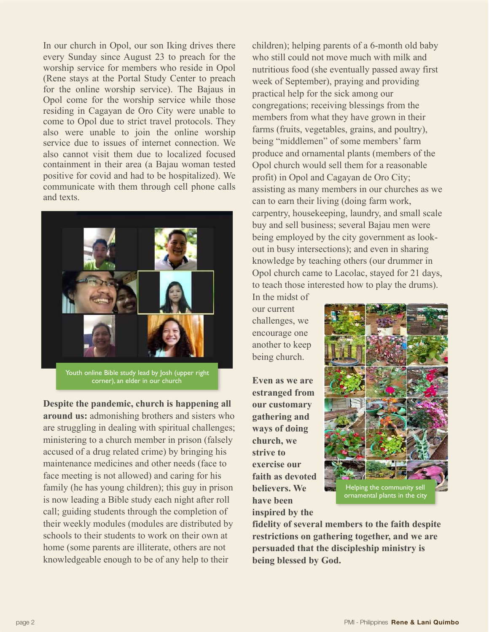In our church in Opol, our son Iking drives there every Sunday since August 23 to preach for the worship service for members who reside in Opol (Rene stays at the Portal Study Center to preach for the online worship service). The Bajaus in Opol come for the worship service while those residing in Cagayan de Oro City were unable to come to Opol due to strict travel protocols. They also were unable to join the online worship service due to issues of internet connection. We also cannot visit them due to localized focused containment in their area (a Bajau woman tested positive for covid and had to be hospitalized). We communicate with them through cell phone calls and texts.



corner), an elder in our church

**Despite the pandemic, church is happening all around us:** admonishing brothers and sisters who are struggling in dealing with spiritual challenges; ministering to a church member in prison (falsely accused of a drug related crime) by bringing his maintenance medicines and other needs (face to face meeting is not allowed) and caring for his family (he has young children); this guy in prison is now leading a Bible study each night after roll call; guiding students through the completion of their weekly modules (modules are distributed by schools to their students to work on their own at home (some parents are illiterate, others are not knowledgeable enough to be of any help to their

children); helping parents of a 6-month old baby who still could not move much with milk and nutritious food (she eventually passed away first week of September), praying and providing practical help for the sick among our congregations; receiving blessings from the members from what they have grown in their farms (fruits, vegetables, grains, and poultry), being "middlemen" of some members' farm produce and ornamental plants (members of the Opol church would sell them for a reasonable profit) in Opol and Cagayan de Oro City; assisting as many members in our churches as we can to earn their living (doing farm work, carpentry, housekeeping, laundry, and small scale buy and sell business; several Bajau men were being employed by the city government as lookout in busy intersections); and even in sharing knowledge by teaching others (our drummer in Opol church came to Lacolac, stayed for 21 days, to teach those interested how to play the drums).

In the midst of our current challenges, we encourage one another to keep being church.

**Even as we are estranged from our customary gathering and ways of doing church, we strive to exercise our faith as devoted believers. We have been inspired by the** 



ornamental plants in the city

**fidelity of several members to the faith despite restrictions on gathering together, and we are persuaded that the discipleship ministry is being blessed by God.**